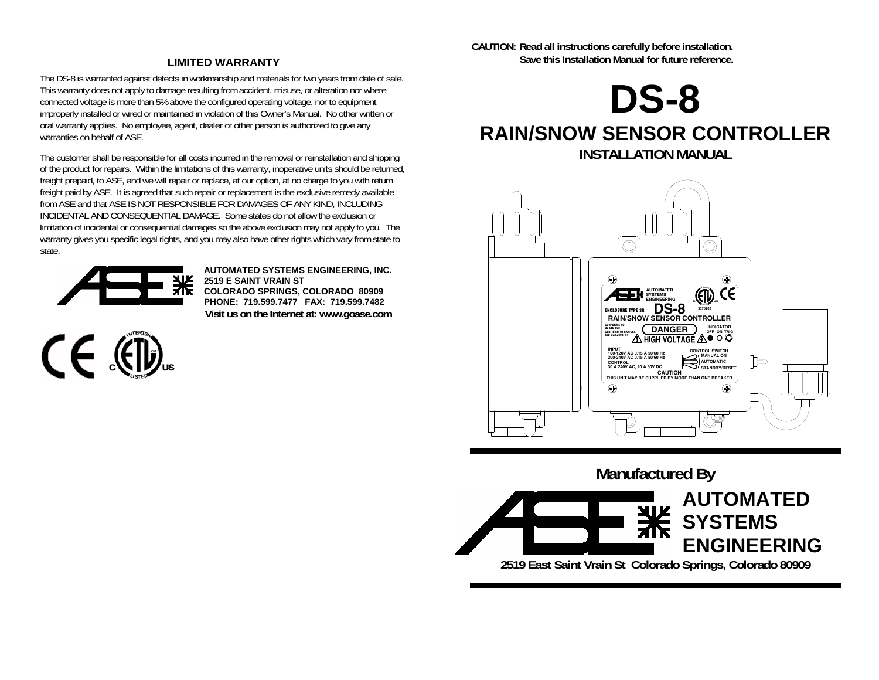#### **LIMITED WARRANTY**

The DS-8 is warranted against defects in workmanship and materials for two years from date of sale. This warranty does not apply to damage resulting from accident, misuse, or alteration nor where connected voltage is more than 5% above the configured operating voltage, nor to equipment improperly installed or wired or maintained in violation of this Owner's Manual. No other written or oral warranty applies. No employee, agent, dealer or other person is authorized to give any warranties on behalf of ASE

The customer shall be responsible for all costs incurred in the removal or reinstallation and shipping of the product for repairs. Within the limitations of this warranty, inoperative units should be returned, freight prepaid, to ASE, and we will repair or replace, at our option, at no charge to you with return freight paid by ASE. It is agreed that such repair or replacement is the exclusive remedy available from ASE and that ASE IS NOT RESPONSIBLE FOR DAMAGES OF ANY KIND, INCLUDING INCIDENTAL AND CONSEQUENTIAL DAMAGE. Some states do not allow the exclusion or limitation of incidental or consequential damages so the above exclusion may not apply to you. The warranty gives you specific legal rights, and you may also have other rights which vary from state to state.



 $C \in \mathbb{C}$ 

**AUTOMATED SYSTEMS ENGINEERING, INC. 2519 E SAINT VRAIN ST COLORADO SPRINGS, COLORADO 80909 PHONE: 719.599.7477 FAX: 719.599.7482 Visit us on the Internet at: www.goase.com**  **CAUTION: Read all instructions carefully before installation. Save this Installation Manual for future reference.** 

**DS-8** 

# **RAIN/SNOW SENSOR CONTROLLER INSTALLATION MANUAL**



**Manufactured By AUTOMATED SYSTEMS ENGINEERING 2519 East Saint Vrain St Colorado Springs, Colorado 80909**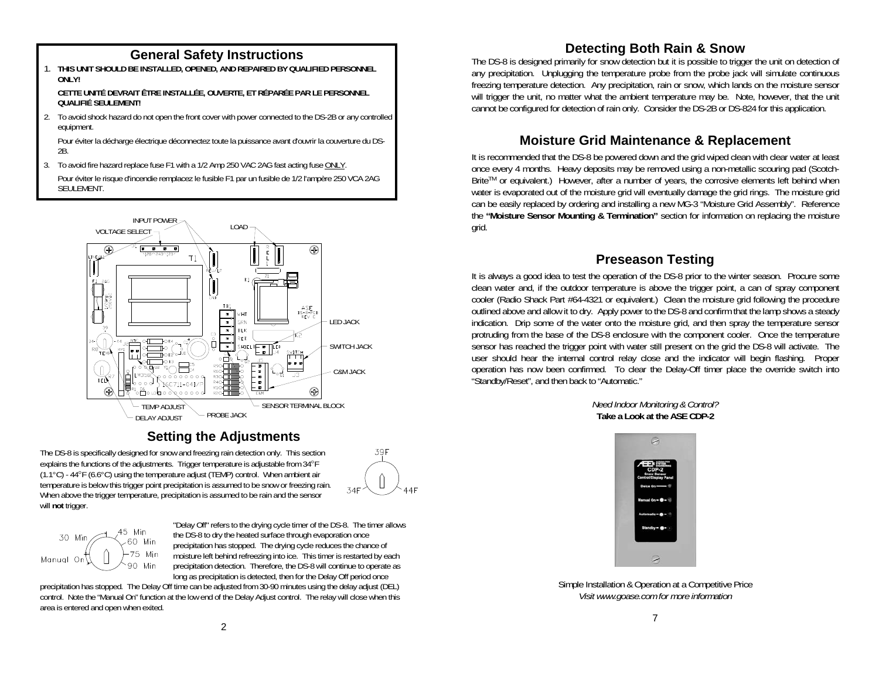1. **THIS UNIT SHOULD BE INSTALLED, OPENED, AND REPAIRED BY QUALIFIED PERSONNEL ONLY!** 

 **CETTE UNITÉ DEVRAIT ÊTRE INSTALLÉE, OUVERTE, ET RÉPARÉE PAR LE PERSONNEL QUALIFIÉ SEULEMENT!** 

2. To avoid shock hazard do not open the front cover with power connected to the DS-2B or any controlled equipment.

 Pour éviter la décharge électrique déconnectez toute la puissance avant d'ouvrir la couverture du DS-2B.

3. To avoid fire hazard replace fuse F1 with a 1/2 Amp 250 VAC 2AG fast acting fuse ONLY.

 Pour éviter le risque d'incendie remplacez le fusible F1 par un fusible de 1/2 l'ampère 250 VCA 2AG SEULEMENT.



# **Setting the Adjustments**

The DS-8 is specifically designed for snow and freezing rain detection only. This section explains the functions of the adjustments. Trigger temperature is adjustable from 34°F (1.1°C) - 44°F (6.6°C) using the temperature adjust (TEMP) control. When ambient air temperature is below this trigger point precipitation is assumed to be snow or freezing rain. When above the trigger temperature, precipitation is assumed to be rain and the sensor will **not** trigger.



$$
\begin{array}{c|c}\n 30 \text{ Min} & 45 \text{ Min} \\
\hline\n 60 \text{ Min} & 60 \text{ Min} \\
\hline\n 75 \text{ Min} & 90 \text{ Min}\n \end{array}
$$

"Delay Off" refers to the drying cycle timer of the DS-8. The timer allows the DS-8 to dry the heated surface through evaporation once precipitation has stopped. The drying cycle reduces the chance of moisture left behind refreezing into ice. This timer is restarted by each precipitation detection. Therefore, the DS-8 will continue to operate as long as precipitation is detected, then for the Delay Off period once

precipitation has stopped. The Delay Off time can be adjusted from 30-90 minutes using the delay adjust (DEL) control. Note the "Manual On" function at the low end of the Delay Adjust control. The relay will close when this area is entered and open when exited.

# **Detecting Both Rain & Snow General Safety Instructions**

The DS-8 is designed primarily for snow detection but it is possible to trigger the unit on detection of any precipitation. Unplugging the temperature probe from the probe jack will simulate continuous freezing temperature detection. Any precipitation, rain or snow, which lands on the moisture sensor will trigger the unit, no matter what the ambient temperature may be. Note, however, that the unit cannot be configured for detection of rain only. Consider the DS-2B or DS-824 for this application.

#### **Moisture Grid Maintenance & Replacement**

It is recommended that the DS-8 be powered down and the grid wiped clean with clear water at least once every 4 months. Heavy deposits may be removed using a non-metallic scouring pad (Scotch-Brite™ or equivalent.) However, after a number of years, the corrosive elements left behind when water is evaporated out of the moisture grid will eventually damage the grid rings. The moisture grid can be easily replaced by ordering and installing a new MG-3 "Moisture Grid Assembly". Reference the **"Moisture Sensor Mounting & Termination"** section for information on replacing the moisture grid.

### **Preseason Testing**

It is always a good idea to test the operation of the DS-8 prior to the winter season. Procure some clean water and, if the outdoor temperature is above the trigger point, a can of spray component cooler (Radio Shack Part #64-4321 or equivalent.) Clean the moisture grid following the procedure outlined above and allow it to dry. Apply power to the DS-8 and confirm that the lamp shows a steady indication. Drip some of the water onto the moisture grid, and then spray the temperature sensor protruding from the base of the DS-8 enclosure with the component cooler. Once the temperature sensor has reached the trigger point with water still present on the grid the DS-8 will activate. The user should hear the internal control relay close and the indicator will begin flashing. Proper operation has now been confirmed. To clear the Delay-Off timer place the override switch into "Standby/Reset", and then back to "Automatic."

> *Need Indoor Monitoring & Control?*  **Take a Look at the ASE CDP-2**



Simple Installation & Operation at a Competitive Price *Visit www.goase.com for more information*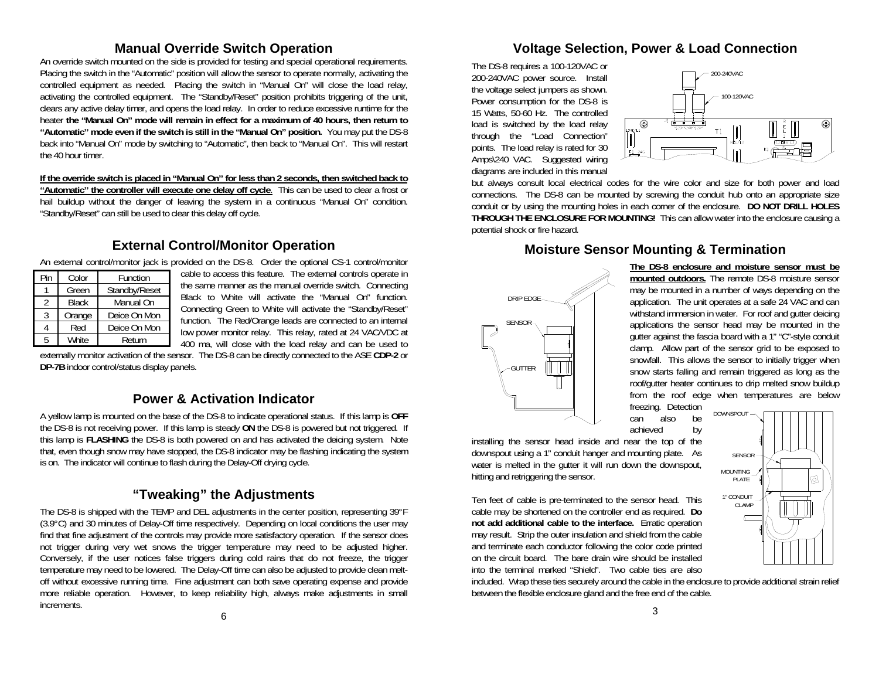#### **Manual Override Switch Operation**

An override switch mounted on the side is provided for testing and special operational requirements. Placing the switch in the "Automatic" position will allow the sensor to operate normally, activating the controlled equipment as needed. Placing the switch in "Manual On" will close the load relay, activating the controlled equipment. The "Standby/Reset" position prohibits triggering of the unit, clears any active delay timer, and opens the load relay. In order to reduce excessive runtime for the heater **the "Manual On" mode will remain in effect for a maximum of 40 hours, then return to "Automatic" mode even if the switch is still in the "Manual On" position.** You may put the DS-8 back into "Manual On" mode by switching to "Automatic", then back to "Manual On". This will restart the 40 hour timer.

**If the override switch is placed in "Manual On" for less than 2 seconds, then switched back to "Automatic" the controller will execute one delay off cycle**. This can be used to clear a frost or hail buildup without the danger of leaving the system in a continuous "Manual On" condition. "Standby/Reset" can still be used to clear this delay off cycle.

#### **External Control/Monitor Operation**

| An external control/monitor jack is provided on the DS-8. Order the optional CS-1 control/monitor |  |  |  |  |
|---------------------------------------------------------------------------------------------------|--|--|--|--|
|---------------------------------------------------------------------------------------------------|--|--|--|--|

| Pin | Color        | Function      |
|-----|--------------|---------------|
|     | Green        | Standby/Reset |
| 2   | <b>Black</b> | Manual On     |
| 3   | Orange       | Deice On Mon  |
|     | Red          | Deice On Mon  |
| 5   | <b>White</b> | Return        |

cable to access this feature. The external controls operate in the same manner as the manual override switch. Connecting Black to White will activate the "Manual On" function. Connecting Green to White will activate the "Standby/Reset" function. The Red/Orange leads are connected to an internal low power monitor relay. This relay, rated at 24 VAC/VDC at 400 ma, will close with the load relay and can be used to

externally monitor activation of the sensor. The DS-8 can be directly connected to the ASE **CDP-2** or **DP-7B** indoor control/status display panels.

#### **Power & Activation Indicator**

A yellow lamp is mounted on the base of the DS-8 to indicate operational status. If this lamp is **OFF** the DS-8 is not receiving power. If this lamp is steady **ON** the DS-8 is powered but not triggered. If this lamp is **FLASHING** the DS-8 is both powered on and has activated the deicing system. Note that, even though snow may have stopped, the DS-8 indicator may be flashing indicating the system is on. The indicator will continue to flash during the Delay-Off drying cycle.

### **"Tweaking" the Adjustments**

The DS-8 is shipped with the TEMP and DEL adjustments in the center position, representing 39°F (3.9°C) and 30 minutes of Delay-Off time respectively. Depending on local conditions the user may find that fine adjustment of the controls may provide more satisfactory operation. If the sensor does not trigger during very wet snows the trigger temperature may need to be adjusted higher. Conversely, if the user notices false triggers during cold rains that do not freeze, the trigger temperature may need to be lowered. The Delay-Off time can also be adjusted to provide clean meltoff without excessive running time. Fine adjustment can both save operating expense and provide more reliable operation. However, to keep reliability high, always make adjustments in small increments.

6

# **Voltage Selection, Power & Load Connection**

The DS-8 requires a 100-120VAC or 200-240VAC power source. Install the voltage select jumpers as shown. Power consumption for the DS-8 is 15 Watts, 50-60 Hz. The controlled load is switched by the load relay through the "Load Connection" points. The load relay is rated for 30 Amps\240 VAC. Suggested wiring diagrams are included in this manual



but always consult local electrical codes for the wire color and size for both power and load connections. The DS-8 can be mounted by screwing the conduit hub onto an appropriate size conduit or by using the mounting holes in each corner of the enclosure. **DO NOT DRILL HOLES THROUGH THE ENCLOSURE FOR MOUNTING!** This can allow water into the enclosure causing a potential shock or fire hazard.

#### **Moisture Sensor Mounting & Termination**



**The DS-8 enclosure and moisture sensor must be mounted outdoors.** The remote DS-8 moisture sensor may be mounted in a number of ways depending on the application. The unit operates at a safe 24 VAC and can withstand immersion in water. For roof and gutter deicing applications the sensor head may be mounted in the gutter against the fascia board with a 1" "C"-style conduit clamp. Allow part of the sensor grid to be exposed to snowfall. This allows the sensor to initially trigger when snow starts falling and remain triggered as long as the roof/gutter heater continues to drip melted snow buildup from the roof edge when temperatures are below freezing. Detection

can also be achieved by

installing the sensor head inside and near the top of the downspout using a 1" conduit hanger and mounting plate. As water is melted in the gutter it will run down the downspout, hitting and retriggering the sensor.

Ten feet of cable is pre-terminated to the sensor head. This cable may be shortened on the controller end as required. **Do not add additional cable to the interface.** Erratic operation may result. Strip the outer insulation and shield from the cable and terminate each conductor following the color code printed on the circuit board. The bare drain wire should be installed into the terminal marked "Shield". Two cable ties are also

included. Wrap these ties securely around the cable in the enclosure to provide additional strain relief between the flexible enclosure gland and the free end of the cable.